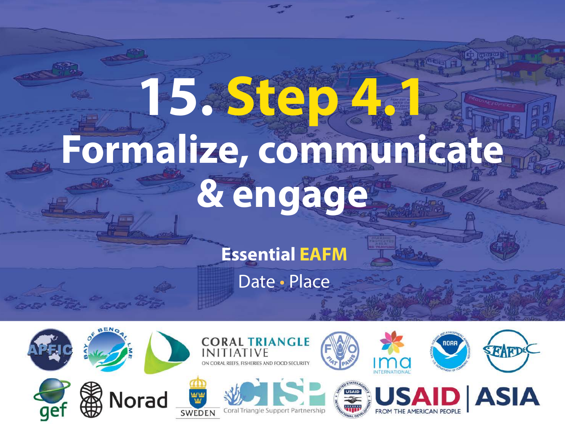# **15. Step 4.1 Formalize, communicate & engage**

**Essential EAFM**

Date • Place

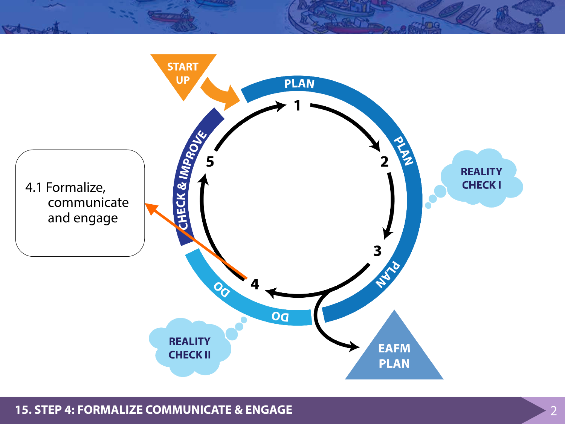

**15. STEP 4: FORMALIZE COMMUNICATE & ENGAGE** 2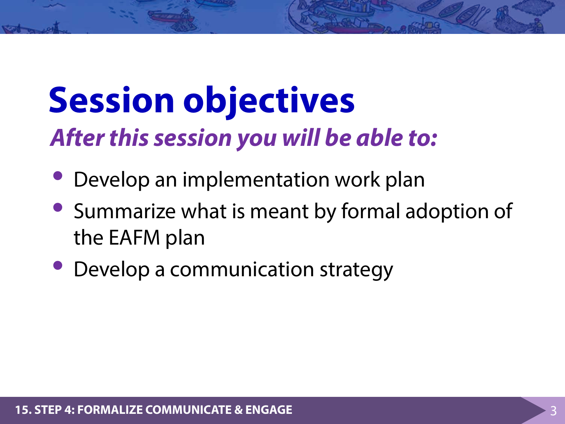#### **Session objectives** *After this session you will be able to:*

- Develop an implementation work plan
- Summarize what is meant by formal adoption of the EAFM plan
- Develop a communication strategy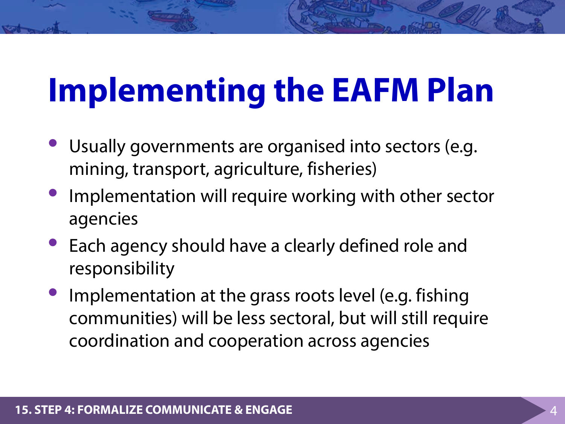### **Implementing the EAFM Plan**

- Usually governments are organised into sectors (e.g. mining, transport, agriculture, fisheries)
- Implementation will require working with other sector agencies
- Each agency should have a clearly defined role and responsibility
- Implementation at the grass roots level (e.g. fishing communities) will be less sectoral, but will still require coordination and cooperation across agencies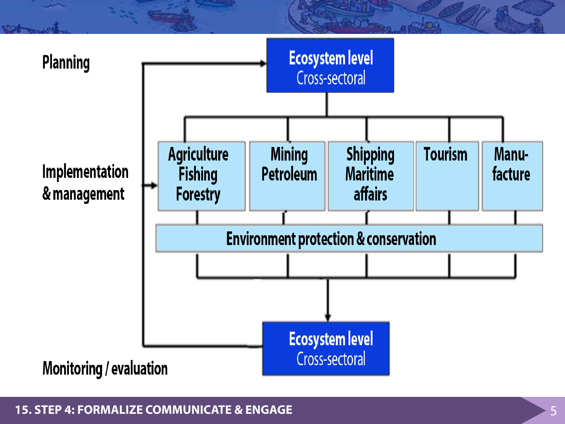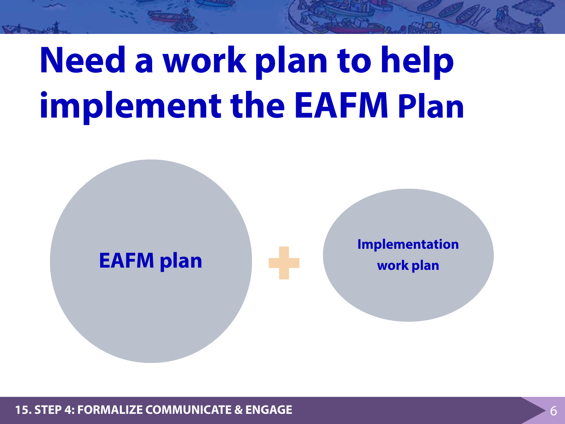## **Need a work plan to help implement the EAFM Plan**



**15. STEP 4: FORMALIZE COMMUNICATE & ENGAGE** 6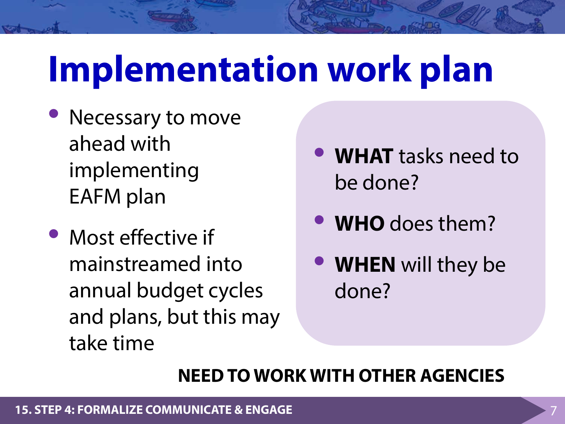# **Implementation work plan**

- Necessary to move ahead with implementing EAFM plan
- Most effective if mainstreamed into annual budget cycles and plans, but this may take time
- **WHAT** tasks need to be done?
- **WHO** does them?
- **WHEN** will they be done?

#### **NEED TO WORK WITH OTHER AGENCIES**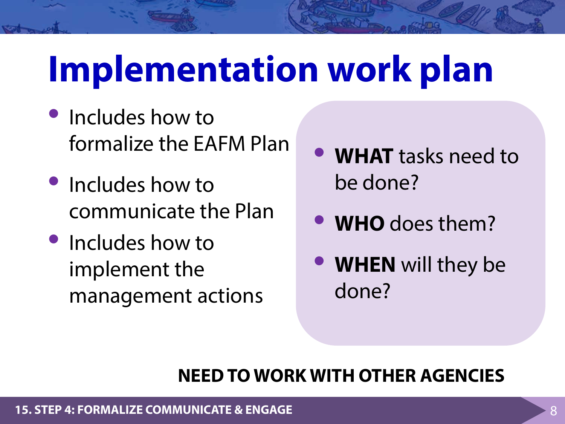# **Implementation work plan**

- Includes how to formalize the EAFM Plan
- Includes how to communicate the Plan
- Includes how to implement the management actions
- **WHAT** tasks need to be done?
- **WHO** does them?
- **WHEN** will they be done?

#### **NEED TO WORK WITH OTHER AGENCIES**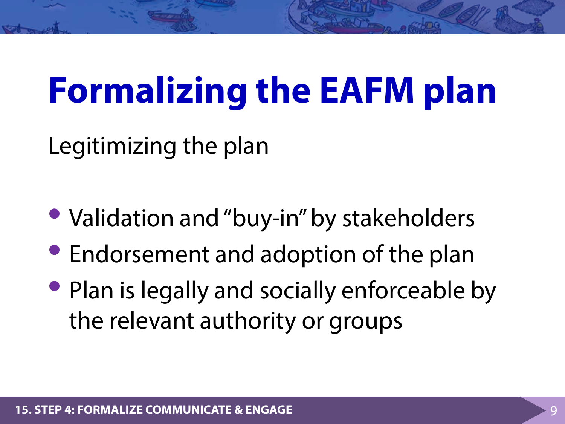### **Formalizing the EAFM plan**

Legitimizing the plan

- Validation and "buy-in" by stakeholders
- Endorsement and adoption of the plan
- Plan is legally and socially enforceable by the relevant authority or groups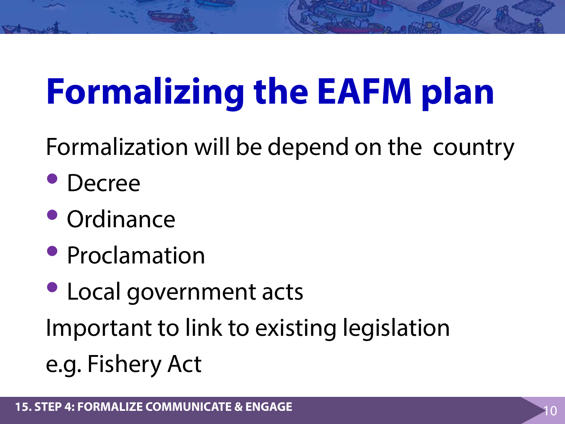# **Formalizing the EAFM plan**

Formalization will be depend on the country

- Decree
- Ordinance
- Proclamation
- Local government acts Important to link to existing legislation e.g. Fishery Act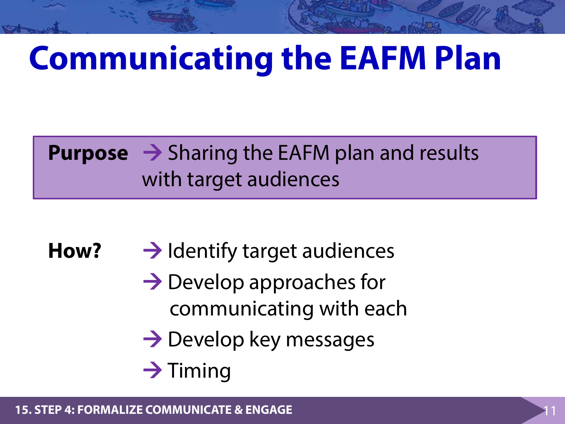### **Communicating the EAFM Plan**

#### **Purpose → Sharing the EAFM plan and results** with target audiences

How? → Identify target audiences

- $\rightarrow$  Develop approaches for communicating with each
- $\rightarrow$  Develop key messages
- $\rightarrow$  Timing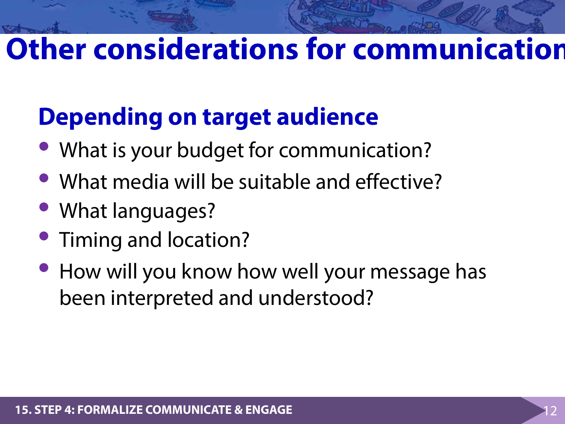#### **Other considerations for communication**

#### **Depending on target audience**

- What is your budget for communication?
- What media will be suitable and effective?
- What languages?
- Timing and location?
- How will you know how well your message has been interpreted and understood?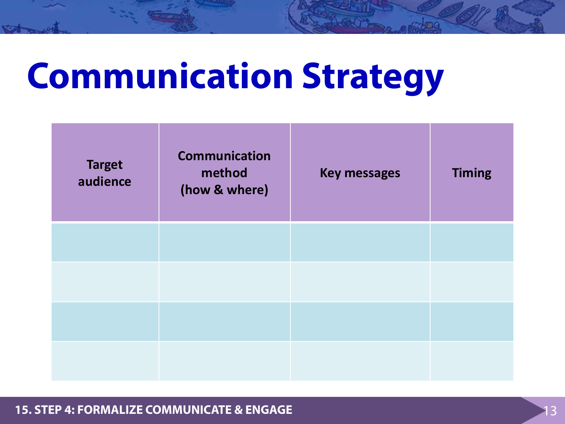# **Communication Strategy**

| <b>Target</b><br>audience | <b>Communication</b><br>method<br>(how & where) | <b>Key messages</b> | <b>Timing</b> |
|---------------------------|-------------------------------------------------|---------------------|---------------|
|                           |                                                 |                     |               |
|                           |                                                 |                     |               |
|                           |                                                 |                     |               |
|                           |                                                 |                     |               |

**15. STEP 4: FORMALIZE COMMUNICATE & ENGAGE**